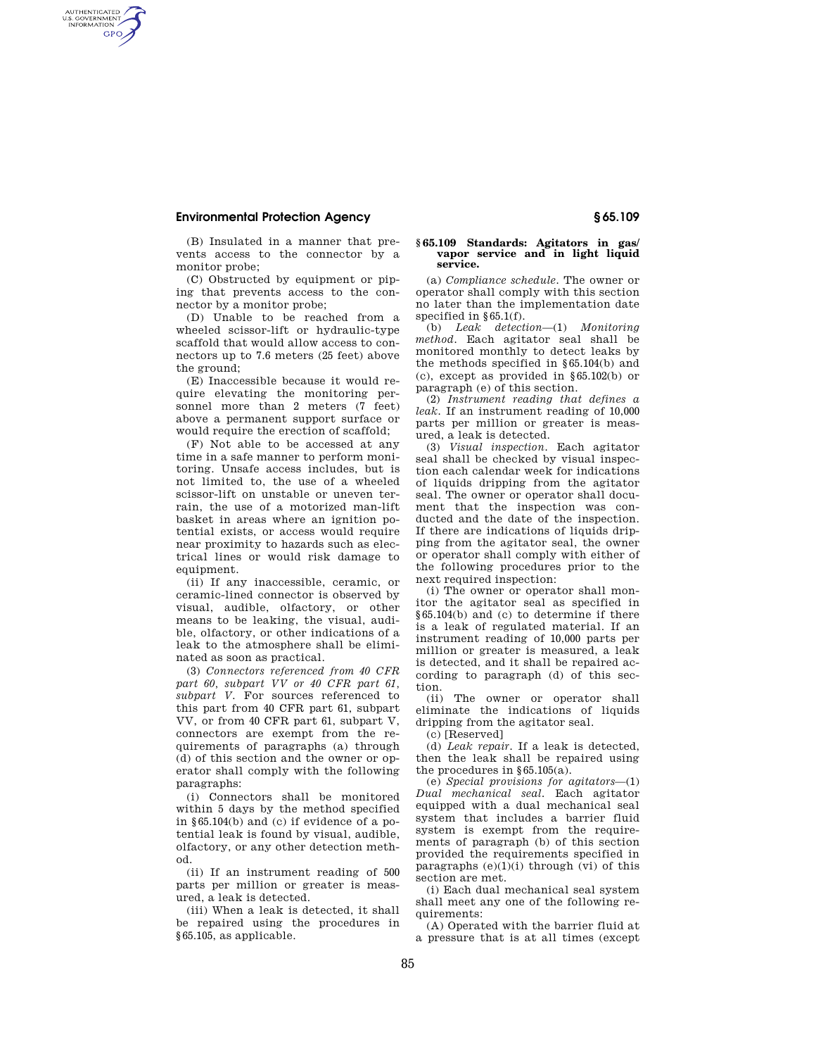## **Environmental Protection Agency § 65.109**

AUTHENTICATED<br>U.S. GOVERNMENT<br>INFORMATION **GPO** 

> (B) Insulated in a manner that prevents access to the connector by a monitor probe;

> (C) Obstructed by equipment or piping that prevents access to the connector by a monitor probe;

> (D) Unable to be reached from a wheeled scissor-lift or hydraulic-type scaffold that would allow access to connectors up to 7.6 meters (25 feet) above the ground;

> (E) Inaccessible because it would require elevating the monitoring personnel more than 2 meters (7 feet) above a permanent support surface or would require the erection of scaffold;

> (F) Not able to be accessed at any time in a safe manner to perform monitoring. Unsafe access includes, but is not limited to, the use of a wheeled scissor-lift on unstable or uneven terrain, the use of a motorized man-lift basket in areas where an ignition potential exists, or access would require near proximity to hazards such as electrical lines or would risk damage to equipment.

> (ii) If any inaccessible, ceramic, or ceramic-lined connector is observed by visual, audible, olfactory, or other means to be leaking, the visual, audible, olfactory, or other indications of a leak to the atmosphere shall be eliminated as soon as practical.

> (3) *Connectors referenced from 40 CFR part 60, subpart VV or 40 CFR part 61, subpart V.* For sources referenced to this part from 40 CFR part 61, subpart VV, or from 40 CFR part 61, subpart V, connectors are exempt from the requirements of paragraphs (a) through (d) of this section and the owner or operator shall comply with the following paragraphs:

> (i) Connectors shall be monitored within 5 days by the method specified in §65.104(b) and (c) if evidence of a potential leak is found by visual, audible, olfactory, or any other detection method.

> (ii) If an instrument reading of 500 parts per million or greater is measured, a leak is detected.

> (iii) When a leak is detected, it shall be repaired using the procedures in §65.105, as applicable.

## **§ 65.109 Standards: Agitators in gas/ vapor service and in light liquid service.**

(a) *Compliance schedule.* The owner or operator shall comply with this section no later than the implementation date specified in §65.1(f).

(b) *Leak detection*—(1) *Monitoring method.* Each agitator seal shall be monitored monthly to detect leaks by the methods specified in §65.104(b) and (c), except as provided in §65.102(b) or paragraph (e) of this section.

(2) *Instrument reading that defines a leak.* If an instrument reading of 10,000 parts per million or greater is measured, a leak is detected.

(3) *Visual inspection.* Each agitator seal shall be checked by visual inspection each calendar week for indications of liquids dripping from the agitator seal. The owner or operator shall document that the inspection was conducted and the date of the inspection. If there are indications of liquids dripping from the agitator seal, the owner or operator shall comply with either of the following procedures prior to the next required inspection:

(i) The owner or operator shall monitor the agitator seal as specified in §65.104(b) and (c) to determine if there is a leak of regulated material. If an instrument reading of 10,000 parts per million or greater is measured, a leak is detected, and it shall be repaired according to paragraph (d) of this section.

(ii) The owner or operator shall eliminate the indications of liquids dripping from the agitator seal.

(c) [Reserved]

(d) *Leak repair.* If a leak is detected, then the leak shall be repaired using the procedures in §65.105(a).

(e) *Special provisions for agitators*—(1) *Dual mechanical seal.* Each agitator equipped with a dual mechanical seal system that includes a barrier fluid system is exempt from the requirements of paragraph (b) of this section provided the requirements specified in paragraphs  $(e)(1)(i)$  through  $(vi)$  of this section are met.

(i) Each dual mechanical seal system shall meet any one of the following requirements:

(A) Operated with the barrier fluid at a pressure that is at all times (except